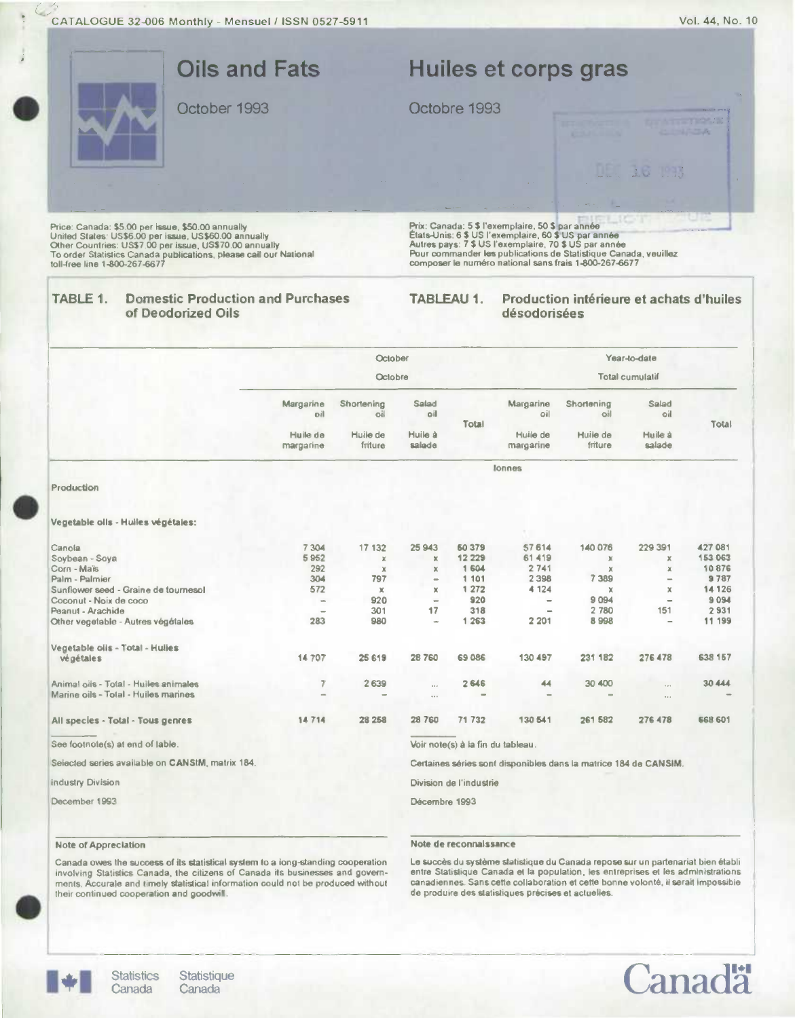

|                                                  | October                                                          |                               |                                |        |                              | Year-to-date                  |                          |          |  |  |
|--------------------------------------------------|------------------------------------------------------------------|-------------------------------|--------------------------------|--------|------------------------------|-------------------------------|--------------------------|----------|--|--|
|                                                  | Octobre                                                          |                               |                                |        | <b>Total cumulatif</b>       |                               |                          |          |  |  |
|                                                  | Margarine<br>oil<br>Huile de                                     | Shortening<br>oil<br>Huile de | Salad<br>oil<br>Huile à        | Total  | Margarine<br>oil<br>Huile de | Shortening<br>oil<br>Huile de | Salad<br>oil<br>Huile à  | Total    |  |  |
|                                                  | margarine                                                        | friture                       | salade                         |        | margarine                    | friture                       | salade                   |          |  |  |
|                                                  |                                                                  |                               |                                |        | <b>Jonnes</b>                |                               |                          |          |  |  |
| Production                                       |                                                                  |                               |                                |        |                              |                               |                          |          |  |  |
| Vegetable oils - Huiles végétales:               |                                                                  |                               |                                |        |                              |                               |                          |          |  |  |
| Canola                                           | 7 3 0 4                                                          | 17 132                        | 25 943                         | 60 379 | 57 614                       | 140 076                       | 229 391                  | 427 081  |  |  |
| Soybean - Soya                                   | 5952                                                             | $\chi$                        | $\mathbf x$                    | 12 229 | 61419                        | $\mathbb X$                   | ×                        | 153 063  |  |  |
| Corn - Maïs                                      | 292                                                              | $\mathbb{X}$                  | ×                              | 1 604  | 2741                         | ×                             | $\mathbf x$              | 10876    |  |  |
| Palm - Palmier                                   | 304                                                              | 797                           | $\equiv$                       | 1 101  | 2 3 9 8                      | 7 3 8 9                       |                          | 9787     |  |  |
| Sunflower seed - Graine de tournesol             | 572                                                              | $\mathbb X$                   | ×                              | 1 27 2 | 4 1 2 4                      | x                             | $\times$                 | 14 126   |  |  |
| Coconut - Noix de coco                           | $\qquad \qquad \blacksquare$                                     | 920                           | $\qquad \qquad \longleftarrow$ | 920    | $\equiv$                     | 9094                          | $\equiv$                 | 9 0 9 4  |  |  |
| Peanut - Arachide                                |                                                                  | 301                           | 17                             | 318    | $\equiv$                     | 2 780                         | 151                      | 2 9 3 1  |  |  |
| Other vegetable - Autres végétales               | 283                                                              | 980                           | $\overline{\phantom{a}}$       | 1 263  | 2 2 0 1                      | 8998                          | $\overline{\phantom{a}}$ | 11 199   |  |  |
| Vegetable oils - Total - Hulles                  |                                                                  |                               |                                |        |                              |                               |                          |          |  |  |
| végétales                                        | 14 707                                                           | 25 619                        | 28760                          | 69 086 | 130 497                      | 231 182                       | 276 478                  | 638 157  |  |  |
| Animal oils - Total - Huiles animales            | $\overline{7}$                                                   | 2 639                         | $\cdots$                       | 2646   | 44                           | 30 400                        | $\sim$                   | 30 4 4 4 |  |  |
| Marine oils - Total - Huiles marines             |                                                                  |                               | $\sim$                         |        |                              |                               | $\cdots$                 |          |  |  |
| All species - Total - Tous genres                | 14714                                                            | 28 25 8                       | 28 760                         | 71 732 | 130 541                      | 261 582                       | 276 478                  | 668 601  |  |  |
| See footnote(s) at end of lable.                 | Voir note(s) à la fin du tableau.                                |                               |                                |        |                              |                               |                          |          |  |  |
| Seiected series available on CANStM, matrix 184. | Certaines séries sont disponibles dans la matrice 184 de CANSIM. |                               |                                |        |                              |                               |                          |          |  |  |
| <b>Industry Division</b>                         | Division de l'industrie                                          |                               |                                |        |                              |                               |                          |          |  |  |
| December 1993                                    |                                                                  |                               | Décembre 1993                  |        |                              |                               |                          |          |  |  |

## Note of Appreciation

Note de reconnaIssance

Canada owes the success of its statistical system to a long-standing cooperation involving Statistics Canada, the citizens of Canada its businesses and governments. Accurate and timely statistical inlormation could not be produced without their continued cooperation and goodwill.

### La succès du système statistique du Canada repose sur un partenariat bien établi entre Statistique Canada et la population, les entreprises et les administrations canadiennes. Sans cetle collaboration at cette bonne volontè, it sarait impossible de produire des statisliques précises et actuelles.



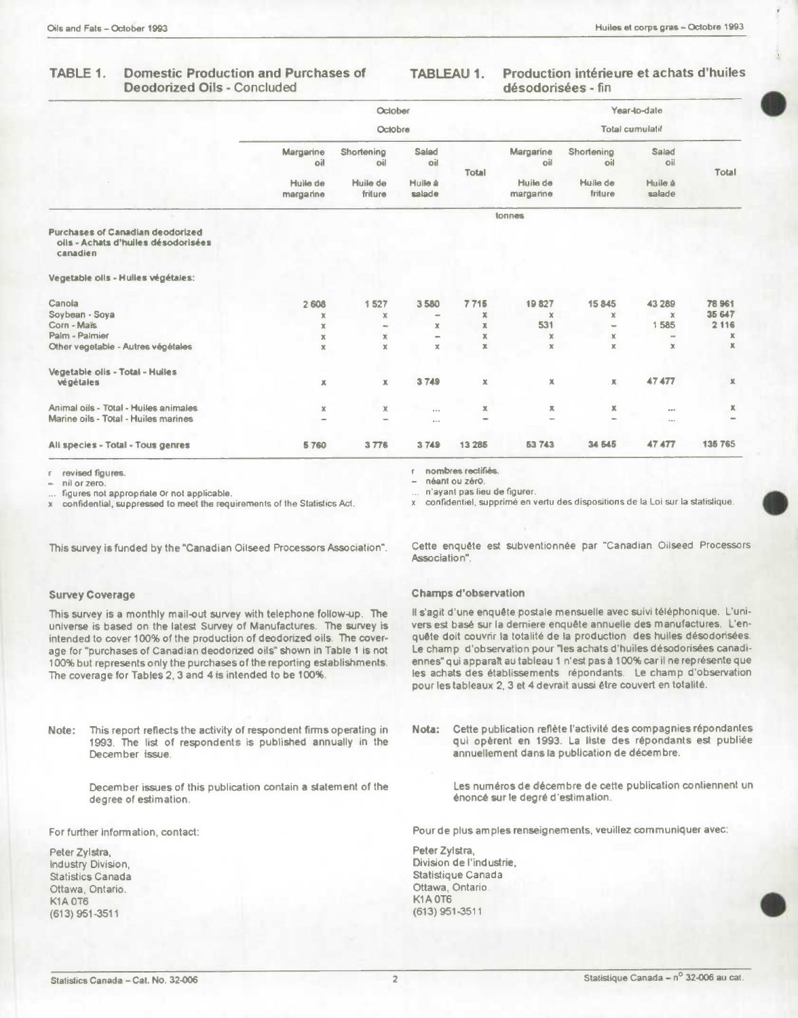#### **Domestic Production and Purchases of** TABLE 1. **Deodorized Oils - Concluded**

#### Production intérieure et achats d'huiles **TABLEAU 1.** désodorisées - fin

|                                                                                            | October               |                     |                          |              | Year-to-date           |                           |                   |                           |  |
|--------------------------------------------------------------------------------------------|-----------------------|---------------------|--------------------------|--------------|------------------------|---------------------------|-------------------|---------------------------|--|
|                                                                                            | Octobre               |                     |                          |              | <b>Total cumulatif</b> |                           |                   |                           |  |
|                                                                                            | Margarine<br>oil      | Shortening<br>oil   | Salad<br>oil             | <b>Total</b> | Margarine<br>oil       | Shortening<br>oil         | Salad<br>oil      | <b>Total</b>              |  |
|                                                                                            | Huile de<br>margarine | Huile de<br>friture | Huile à<br>salade        |              | Huile de<br>margarine  | Hulle de<br>friture       | Huile à<br>salade |                           |  |
|                                                                                            |                       |                     |                          |              | tonnes                 |                           |                   |                           |  |
| <b>Purchases of Canadian deodorized</b><br>olis - Achats d'huiles désodorisées<br>canadien |                       |                     |                          |              |                        |                           |                   |                           |  |
| Vegetable oils - Hulies végétales:                                                         |                       |                     |                          |              |                        |                           |                   |                           |  |
| Canola                                                                                     | 2 608                 | 1527                | 3580                     | 7715         | 19827                  | 15845                     | 43 289            | 78 961                    |  |
| Soybean - Soya                                                                             | x                     | $\mathbb X$         | $\overline{\phantom{0}}$ | x            | $\mathbb X$            | $\boldsymbol{\mathsf{x}}$ | x                 | 35 647                    |  |
| Corn - Maïs                                                                                | x                     | ms.                 | x                        | x            | 531                    | $\equiv$                  | 1585              | 2 1 1 6                   |  |
| Palm - Palmier                                                                             | х                     | х                   | -                        | x            | $\mathbf x$            | $\mathbf x$               | -                 | ж                         |  |
| Other vegetable - Autres végétales                                                         | x                     | $\mathbb X$         | $\mathbb X$              | x            | $\mathbb X$            | x                         | $\mathbb X$       | $\mathbb X$               |  |
| Vegetable olis - Total - Huiles                                                            |                       |                     |                          |              |                        |                           |                   |                           |  |
| végétales                                                                                  | $\mathbb X$           | $\mathbb X$         | 3749                     | x            | $\mathbb X$            | ж                         | 47477             | $\boldsymbol{\mathsf{x}}$ |  |
| Animal oils - Total - Huiles animales                                                      | $\mathbb X$           | $\mathbb X$         | $6.0 - 6.$               | x            | ж                      | х                         | 0.01              | х                         |  |
| Marine oils - Total - Huiles marines                                                       | an.                   | $\sim$              | $\alpha = \alpha$        | $\sim$       |                        | $\rightarrow$             | 1.11              | $\sim$                    |  |
| Ali species - Total - Tous genres                                                          | 5760                  | 3776                | 3749                     | 13 28 5      | 53743                  | 34 545                    | 47 477            | 135 765                   |  |

revised figures.

nil or zero.

figures not appropriate Or not applicable.

confidential, suppressed to meet the requirements of the Statistics Act.

This survey is funded by the "Canadian Oilseed Processors Association".

## **Survey Coverage**

This survey is a monthly mail-out survey with telephone follow-up. The universe is based on the latest Survey of Manufactures. The survey is intended to cover 100% of the production of deodorized oils. The coverage for "purchases of Canadian deodorized oils" shown in Table 1 is not 100% but represents only the purchases of the reporting establishments. The coverage for Tables 2, 3 and 4 is intended to be 100%.

This report reflects the activity of respondent firms operating in Note: 1993. The list of respondents is published annually in the December issue.

> December issues of this publication contain a statement of the degree of estimation.

For further information, contact:

Peter Zylstra, Industry Division, **Statistics Canada** Ottawa, Ontario. **K1A 0T6** (613) 951-3511

nombres rectifiés. néant ou zéro.

n'ayant pas lieu de figurer.

confidentiel, supprimé en vertu des dispositions de la Loi sur la statistique.

Cette enquête est subventionnée par "Canadian Oilseed Processors Association".

## **Champs d'observation**

Il s'agit d'une enquête postale mensuelle avec suivi téléphonique. L'univers est basé sur la derniere enquête annuelle des manufactures. L'enquête doit couvrir la totalité de la production des huiles désodorisées. Le champ d'observation pour "les achats d'huiles désodorisées canadiennes" qui apparaît au tableau 1 n'est pas à 100% car il ne représente que les achats des établissements répondants. Le champ d'observation pour les tableaux 2, 3 et 4 devrait aussi être couvert en totalité.

Cette publication reflète l'activité des compagnies répondantes Nota: qui opèrent en 1993. La liste des répondants est publiée annuellement dans la publication de décembre.

> Les numéros de décembre de cette publication contiennent un énoncé sur le degré d'estimation.

Pour de plus amples renseignements, veuillez communiquer avec:

Peter Zylstra, Division de l'industrie, Statistique Canada Ottawa, Ontario K1A0T6  $(613)$  951-3511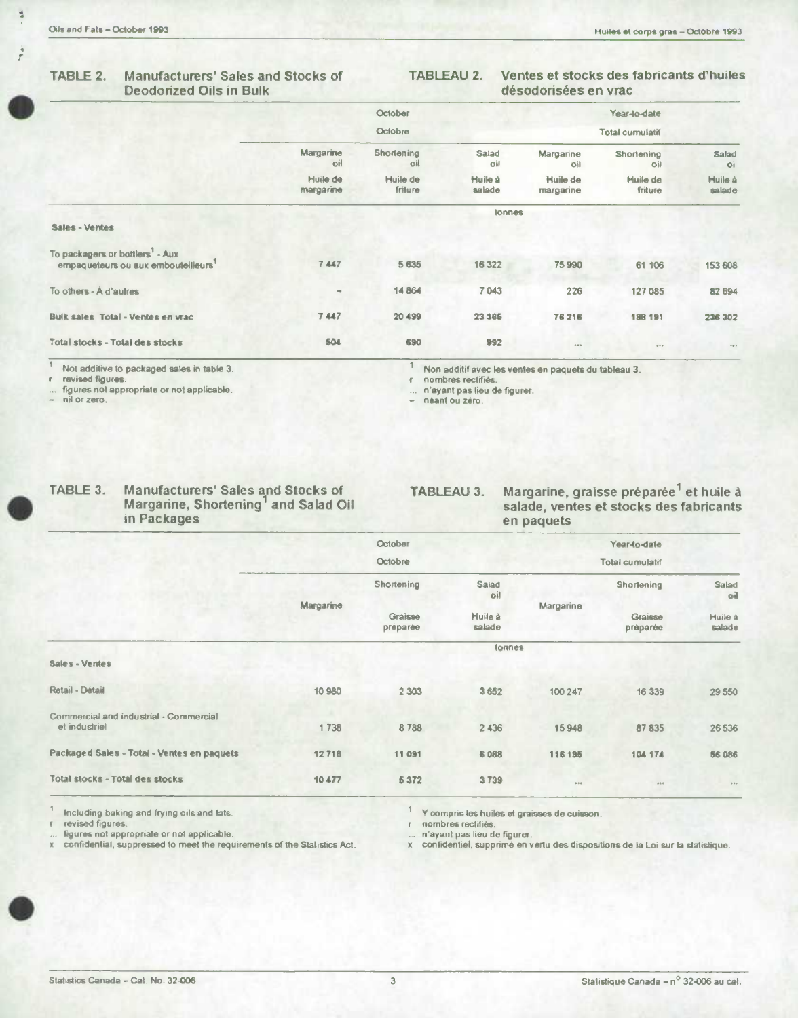$\frac{1}{4}$ 

# **TABLE 2. Manufacturers' Sales and Stocks of Deodorized Oils in Bulk**

# **TABLEAU 2. Ventes et stocks des fabncants d'huiles désodorisées en vrac**

| Margarine<br>oil<br>Huile de<br>margarine | October<br>Octobre<br>Shortening<br>oil<br>Huile de<br>friture | Salad<br>oil<br>Huile à<br>salade | Margarine<br>oil<br>Huile de | Year-to-date<br><b>Total cumulatif</b><br>Shortening<br>oil | Salad<br>oil                                         |
|-------------------------------------------|----------------------------------------------------------------|-----------------------------------|------------------------------|-------------------------------------------------------------|------------------------------------------------------|
|                                           |                                                                |                                   |                              |                                                             |                                                      |
|                                           |                                                                |                                   |                              |                                                             |                                                      |
|                                           |                                                                |                                   |                              |                                                             |                                                      |
|                                           |                                                                |                                   | margarine                    | Huile de<br>friture                                         | Huile à<br>salade                                    |
|                                           |                                                                | tonnes                            |                              |                                                             |                                                      |
|                                           |                                                                |                                   |                              |                                                             |                                                      |
| 7447                                      | 5 6 3 5                                                        | 16 322                            | 75 990                       | 61 106                                                      | 153 608                                              |
|                                           | 14864                                                          | 7 043                             | 226                          | 127 085                                                     | 82 694                                               |
| 7447                                      | 20 499                                                         | 23 3 65                           | 76 216                       | 188 191                                                     | 236 302                                              |
| 504                                       | 690                                                            | 992                               |                              | $\cdots$                                                    |                                                      |
|                                           |                                                                |                                   | nombres rectifiés.           | n'ayant pas lieu de figurer.                                | Non additif avec les ventes en paquets du tableau 3. |

**figures not appropriate or not applicable. ... n'ayant pas lieu de figurer. - nil** or **zero. - néant ou Zero.** 

| TABLE 3. |  | Ma |
|----------|--|----|
|          |  | Ma |

**Margarine, Shortening 1** 

**TABLE 3. Manufacturers' Sales and Stocks of TABLEAU 3. Margarine, graisse prépar6e 1et huile a Margarine, Shortening<sup>1</sup> and Salad Oil salade, ventes et stocks des fabricants in Packages** en paquets en paquets

 $x$  confidentiel, supprimé en vertu des dispositions de la Loi sur la statistique.

|                                                         |           | October             |                   |           | Year-to-date                             |                                   |
|---------------------------------------------------------|-----------|---------------------|-------------------|-----------|------------------------------------------|-----------------------------------|
|                                                         |           | Octobre             |                   |           |                                          |                                   |
|                                                         | Margarine | Shortening          | Salad<br>oil      |           | <b>Shortening</b><br>Graisse<br>préparée | Salad<br>oil<br>Huile à<br>salade |
|                                                         |           | Graisse<br>préparée | Huile à<br>salade | Margarine |                                          |                                   |
|                                                         |           |                     | tonnes            |           |                                          |                                   |
| Sales - Ventes                                          |           |                     |                   |           |                                          |                                   |
| Retail - Détail                                         | 10 980    | 2 3 0 3             | 3 6 5 2           | 100 247   | 16 339                                   | 29 550                            |
| Commercial and industrial - Commercial<br>et industriel | 1738      | 8788                | 2 4 3 6           | 15948     | 87 835                                   | 26 53 6                           |
| Packaged Sales - Total - Ventes en paquets              | 12718     | 11 091              | 6 0 8 8           | 116 195   | 104 174                                  | <b>56 086</b>                     |
| <b>Total stocks - Total des stocks</b>                  | 10477     | 5372                | 3739              | 0.0.6     | 9886                                     | 0.0.9                             |

**1** Including baking and frying oils and fats. **1 1** Y compris les huiles et graisses de cuisson.<br> **1 Y** compris les huiles et graisses de cuisson.<br> **1 1 Y** compris les huiles et graisses de cuisson.

**revised figures, r nombres rectif,és. figures not appropriate or not applicable. ... n'ayant pas lieu de figurer.**